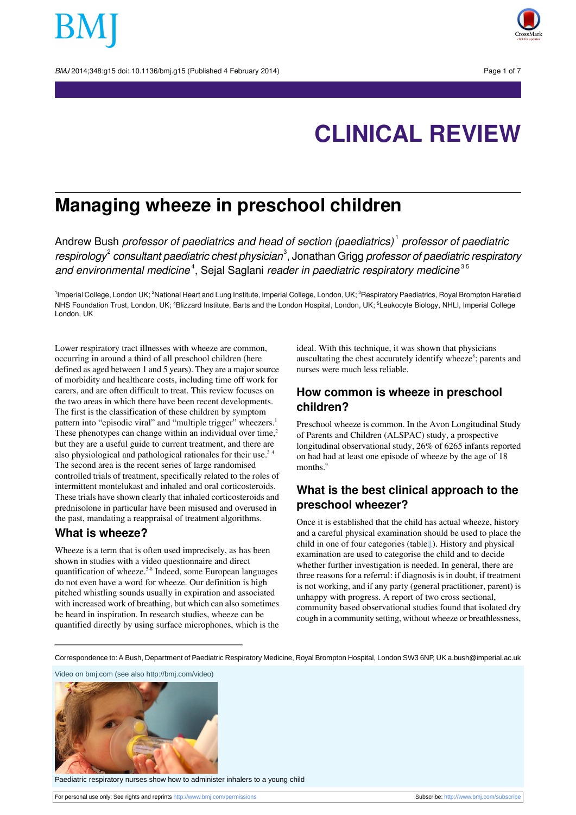BMJ 2014:348:g15 doi: 10.1136/bmi.g15 (Published 4 February 2014) Page 1 of 7



# **CLINICAL REVIEW**

## **Managing wheeze in preschool children**

Andrew Bush *professor of paediatrics and head of section (paediatrics)<sup>1</sup> professor of paediatric* respirology $^{\scriptscriptstyle 2}$  consultant paediatric chest physician $^{\scriptscriptstyle 3}$ , Jonathan Grigg professor of paediatric respiratory and environmental medicine<sup>4</sup>, Sejal Saglani reader in paediatric respiratory medicine<sup>35</sup>

<sup>1</sup>Imperial College, London UK; <sup>2</sup>National Heart and Lung Institute, Imperial College, London, UK; <sup>3</sup>Respiratory Paediatrics, Royal Brompton Harefield NHS Foundation Trust, London, UK; <sup>4</sup>Blizzard Institute, Barts and the London Hospital, London, UK; <sup>5</sup>Leukocyte Biology, NHLI, Imperial College London, UK

Lower respiratory tract illnesses with wheeze are common, occurring in around a third of all preschool children (here defined as aged between 1 and 5 years). They are a major source of morbidity and healthcare costs, including time off work for carers, and are often difficult to treat. This review focuses on the two areas in which there have been recent developments. The first is the classification of these children by symptom pattern into "episodic viral" and "multiple trigger" wheezers.<sup>1</sup> These phenotypes can change within an individual over time,<sup>2</sup> but they are a useful guide to current treatment, and there are also physiological and pathological rationales for their use.<sup>3</sup> The second area is the recent series of large randomised controlled trials of treatment, specifically related to the roles of intermittent montelukast and inhaled and oral corticosteroids. These trials have shown clearly that inhaled corticosteroids and prednisolone in particular have been misused and overused in the past, mandating a reappraisal of treatment algorithms.

#### **What is wheeze?**

Wheeze is a term that is often used imprecisely, as has been shown in studies with a video questionnaire and direct quantification of wheeze.<sup>5-8</sup> Indeed, some European languages do not even have a word for wheeze. Our definition is high pitched whistling sounds usually in expiration and associated with increased work of breathing, but which can also sometimes be heard in inspiration. In research studies, wheeze can be quantified directly by using surface microphones, which is the

ideal. With this technique, it was shown that physicians auscultating the chest accurately identify wheeze<sup>8</sup>; parents and nurses were much less reliable.

#### **How common is wheeze in preschool children?**

Preschool wheeze is common. In the Avon Longitudinal Study of Parents and Children (ALSPAC) study, a prospective longitudinal observational study, 26% of 6265 infants reported on had had at least one episode of wheeze by the age of 18 months.<sup>9</sup>

### **What is the best clinical approach to the preschool wheezer?**

Once it is established that the child has actual wheeze, history and a careful physical examination should be used to place the child in one of four categories (table[⇓](#page-6-0)). History and physical examination are used to categorise the child and to decide whether further investigation is needed. In general, there are three reasons for a referral: if diagnosis is in doubt, if treatment is not working, and if any party (general practitioner, parent) is unhappy with progress. A report of two cross sectional, community based observational studies found that isolated dry cough in a community setting, without wheeze or breathlessness,

Correspondence to: A Bush, Department of Paediatric Respiratory Medicine, Royal Brompton Hospital, London SW3 6NP, UK a.bush@imperial.ac.uk

Video on bmj.com (see also<http://bmj.com/video>)



Paediatric respiratory nurses show how to administer inhalers to a young child

For personal use only: See rights and reprints<http://www.bmj.com/permissions> Subscribe: <http://www.bmj.com/subscribe>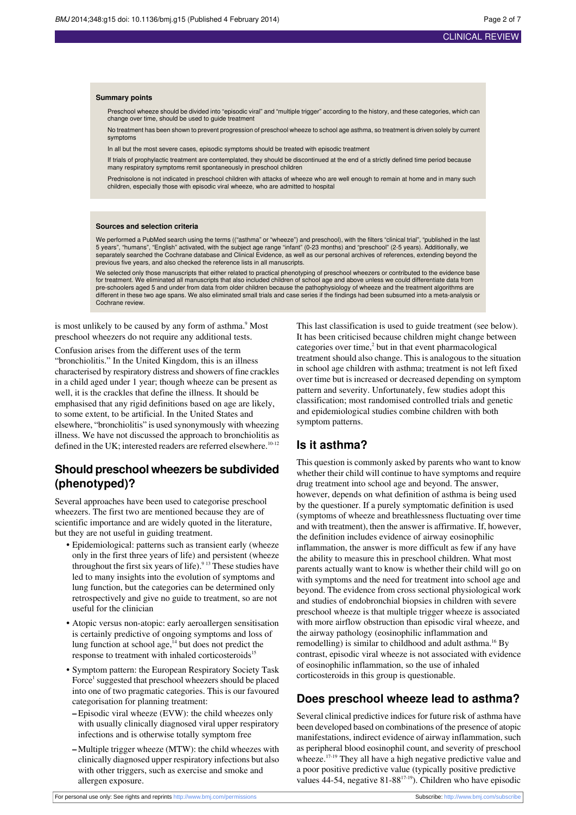#### **Summary points**

Preschool wheeze should be divided into "episodic viral" and "multiple trigger" according to the history, and these categories, which can change over time, should be used to guide treatment

No treatment has been shown to prevent progression of preschool wheeze to school age asthma, so treatment is driven solely by current symptoms

In all but the most severe cases, episodic symptoms should be treated with episodic treatment

If trials of prophylactic treatment are contemplated, they should be discontinued at the end of a strictly defined time period because many respiratory symptoms remit spontaneously in preschool children

Prednisolone is not indicated in preschool children with attacks of wheeze who are well enough to remain at home and in many such children, especially those with episodic viral wheeze, who are admitted to hospital

#### **Sources and selection criteria**

We performed a PubMed search using the terms (("asthma" or "wheeze") and preschool), with the filters "clinical trial", "published in the last<br>5 years", "humans", "English" activated, with the subject age range "infant" (0 separately searched the Cochrane database and Clinical Evidence, as well as our personal archives of references, extending beyond the previous five years, and also checked the reference lists in all manuscripts.

We selected only those manuscripts that either related to practical phenotyping of preschool wheezers or contributed to the evidence base<br>for treatment. We eliminated all manuscripts that also included children of school a pre-schoolers aged 5 and under from data from older children because the pathophysiology of wheeze and the treatment algorithms are different in these two age spans. We also eliminated small trials and case series if the findings had been subsumed into a meta-analysis or Cochrane review.

is most unlikely to be caused by any form of asthma.<sup>9</sup> Most preschool wheezers do not require any additional tests.

Confusion arises from the different uses of the term "bronchiolitis." In the United Kingdom, this is an illness characterised by respiratory distress and showers of fine crackles in a child aged under 1 year; though wheeze can be present as well, it is the crackles that define the illness. It should be emphasised that any rigid definitions based on age are likely, to some extent, to be artificial. In the United States and elsewhere, "bronchiolitis" is used synonymously with wheezing illness. We have not discussed the approach to bronchiolitis as defined in the UK; interested readers are referred elsewhere.<sup>10-12</sup>

### **Should preschool wheezers be subdivided (phenotyped)?**

Several approaches have been used to categorise preschool wheezers. The first two are mentioned because they are of scientific importance and are widely quoted in the literature, but they are not useful in guiding treatment.

- **•** Epidemiological: patterns such as transient early (wheeze only in the first three years of life) and persistent (wheeze throughout the first six years of life).<sup>9 13</sup> These studies have led to many insights into the evolution of symptoms and lung function, but the categories can be determined only retrospectively and give no guide to treatment, so are not useful for the clinician
- **•** Atopic versus non-atopic: early aeroallergen sensitisation is certainly predictive of ongoing symptoms and loss of lung function at school age,<sup>14</sup> but does not predict the response to treatment with inhaled corticosteroids<sup>15</sup>
- **•** Symptom pattern: the European Respiratory Society Task Force<sup>1</sup> suggested that preschool wheezers should be placed into one of two pragmatic categories. This is our favoured categorisation for planning treatment:
	- **–**Episodic viral wheeze (EVW): the child wheezes only with usually clinically diagnosed viral upper respiratory infections and is otherwise totally symptom free
	- **–**Multiple trigger wheeze (MTW): the child wheezes with clinically diagnosed upper respiratory infections but also with other triggers, such as exercise and smoke and allergen exposure.

This last classification is used to guide treatment (see below). It has been criticised because children might change between categories over time, $\epsilon$  but in that event pharmacological treatment should also change. This is analogous to the situation in school age children with asthma; treatment is not left fixed over time but is increased or decreased depending on symptom pattern and severity. Unfortunately, few studies adopt this classification; most randomised controlled trials and genetic and epidemiological studies combine children with both symptom patterns.

#### **Is it asthma?**

This question is commonly asked by parents who want to know whether their child will continue to have symptoms and require drug treatment into school age and beyond. The answer, however, depends on what definition of asthma is being used by the questioner. If a purely symptomatic definition is used (symptoms of wheeze and breathlessness fluctuating over time and with treatment), then the answer is affirmative. If, however, the definition includes evidence of airway eosinophilic inflammation, the answer is more difficult as few if any have the ability to measure this in preschool children. What most parents actually want to know is whether their child will go on with symptoms and the need for treatment into school age and beyond. The evidence from cross sectional physiological work and studies of endobronchial biopsies in children with severe preschool wheeze is that multiple trigger wheeze is associated with more airflow obstruction than episodic viral wheeze, and the airway pathology (eosinophilic inflammation and remodelling) is similar to childhood and adult asthma.<sup>16</sup> By contrast, episodic viral wheeze is not associated with evidence of eosinophilic inflammation, so the use of inhaled corticosteroids in this group is questionable.

#### **Does preschool wheeze lead to asthma?**

Several clinical predictive indices for future risk of asthma have been developed based on combinations of the presence of atopic manifestations, indirect evidence of airway inflammation, such as peripheral blood eosinophil count, and severity of preschool wheeze.<sup>17-19</sup> They all have a high negative predictive value and a poor positive predictive value (typically positive predictive values 44-54, negative 81-8817-19). Children who have episodic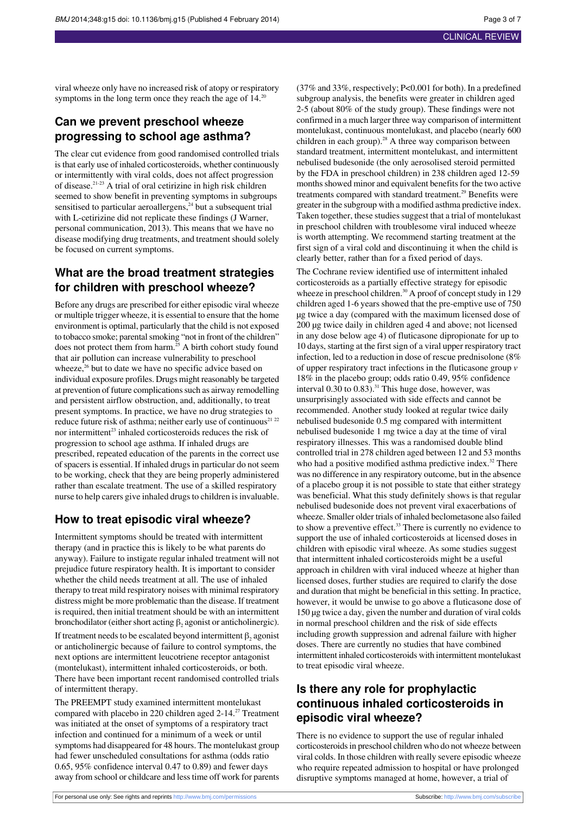viral wheeze only have no increased risk of atopy or respiratory symptoms in the long term once they reach the age of 14.<sup>20</sup>

### **Can we prevent preschool wheeze progressing to school age asthma?**

The clear cut evidence from good randomised controlled trials isthat early use of inhaled corticosteroids, whether continuously or intermittently with viral colds, does not affect progression of disease.21-23 A trial of oral cetirizine in high risk children seemed to show benefit in preventing symptoms in subgroups sensitised to particular aeroallergens, $24$  but a subsequent trial with L-cetirizine did not replicate these findings (J Warner, personal communication, 2013). This means that we have no disease modifying drug treatments, and treatment should solely be focused on current symptoms.

### **What are the broad treatment strategies for children with preschool wheeze?**

Before any drugs are prescribed for either episodic viral wheeze or multiple trigger wheeze, it is essential to ensure that the home environment is optimal, particularly that the child is not exposed to tobacco smoke; parental smoking "not in front of the children" does not protect them from harm.<sup>25</sup> A birth cohort study found that air pollution can increase vulnerability to preschool wheeze,<sup>26</sup> but to date we have no specific advice based on individual exposure profiles. Drugs might reasonably be targeted at prevention of future complications such as airway remodelling and persistent airflow obstruction, and, additionally, to treat present symptoms. In practice, we have no drug strategies to reduce future risk of asthma; neither early use of continuous<sup>21</sup> 22 nor intermittent<sup>23</sup> inhaled corticosteroids reduces the risk of progression to school age asthma. If inhaled drugs are prescribed, repeated education of the parents in the correct use of spacers is essential. If inhaled drugs in particular do not seem to be working, check that they are being properly administered rather than escalate treatment. The use of a skilled respiratory nurse to help carers give inhaled drugs to children is invaluable.

#### **How to treat episodic viral wheeze?**

Intermittent symptoms should be treated with intermittent therapy (and in practice this is likely to be what parents do anyway). Failure to instigate regular inhaled treatment will not prejudice future respiratory health. It is important to consider whether the child needs treatment at all. The use of inhaled therapy to treat mild respiratory noises with minimal respiratory distress might be more problematic than the disease. If treatment is required, then initial treatment should be with an intermittent bronchodilator (either short acting  $\beta_2$  agonist or anticholinergic).

If treatment needs to be escalated beyond intermittent  $\beta_2$  agonist or anticholinergic because of failure to control symptoms, the next options are intermittent leucotriene receptor antagonist (montelukast), intermittent inhaled corticosteroids, or both. There have been important recent randomised controlled trials of intermittent therapy.

The PREEMPT study examined intermittent montelukast compared with placebo in 220 children aged 2-14.<sup>27</sup> Treatment was initiated at the onset of symptoms of a respiratory tract infection and continued for a minimum of a week or until symptoms had disappeared for 48 hours. The montelukast group had fewer unscheduled consultations for asthma (odds ratio 0.65, 95% confidence interval 0.47 to 0.89) and fewer days away from school or childcare and lesstime off work for parents

(37% and 33%, respectively; P<0.001 for both). In a predefined subgroup analysis, the benefits were greater in children aged 2-5 (about 80% of the study group). These findings were not confirmed in a much larger three way comparison of intermittent montelukast, continuous montelukast, and placebo (nearly 600 children in each group).<sup>28</sup> A three way comparison between standard treatment, intermittent montelukast, and intermittent nebulised budesonide (the only aerosolised steroid permitted by the FDA in preschool children) in 238 children aged 12-59 months showed minor and equivalent benefits for the two active treatments compared with standard treatment.<sup>29</sup> Benefits were greater in the subgroup with a modified asthma predictive index. Taken together, these studies suggest that a trial of montelukast in preschool children with troublesome viral induced wheeze is worth attempting. We recommend starting treatment at the first sign of a viral cold and discontinuing it when the child is clearly better, rather than for a fixed period of days.

The Cochrane review identified use of intermittent inhaled corticosteroids as a partially effective strategy for episodic wheeze in preschool children. $30$  A proof of concept study in 129 children aged 1-6 years showed that the pre-emptive use of 750 µg twice a day (compared with the maximum licensed dose of 200 µg twice daily in children aged 4 and above; not licensed in any dose below age 4) of fluticasone dipropionate for up to 10 days, starting at the first sign of a viral upper respiratory tract infection, led to a reduction in dose of rescue prednisolone (8% of upper respiratory tract infections in the fluticasone group *v* 18% in the placebo group; odds ratio 0.49, 95% confidence interval  $0.30$  to  $0.83$ ).<sup>31</sup> This huge dose, however, was unsurprisingly associated with side effects and cannot be recommended. Another study looked at regular twice daily nebulised budesonide 0.5 mg compared with intermittent nebulised budesonide 1 mg twice a day at the time of viral respiratory illnesses. This was a randomised double blind controlled trial in 278 children aged between 12 and 53 months who had a positive modified asthma predictive index.<sup>32</sup> There was no difference in any respiratory outcome, but in the absence of a placebo group it is not possible to state that either strategy was beneficial. What this study definitely shows is that regular nebulised budesonide does not prevent viral exacerbations of wheeze. Smaller older trials of inhaled beclometasone also failed to show a preventive effect.<sup>33</sup> There is currently no evidence to support the use of inhaled corticosteroids at licensed doses in children with episodic viral wheeze. As some studies suggest that intermittent inhaled corticosteroids might be a useful approach in children with viral induced wheeze at higher than licensed doses, further studies are required to clarify the dose and duration that might be beneficial in this setting. In practice, however, it would be unwise to go above a fluticasone dose of 150 µg twice a day, given the number and duration of viral colds in normal preschool children and the risk of side effects including growth suppression and adrenal failure with higher doses. There are currently no studies that have combined intermittent inhaled corticosteroids with intermittent montelukast to treat episodic viral wheeze.

### **Is there any role for prophylactic continuous inhaled corticosteroids in episodic viral wheeze?**

There is no evidence to support the use of regular inhaled corticosteroidsin preschool children who do not wheeze between viral colds. In those children with really severe episodic wheeze who require repeated admission to hospital or have prolonged disruptive symptoms managed at home, however, a trial of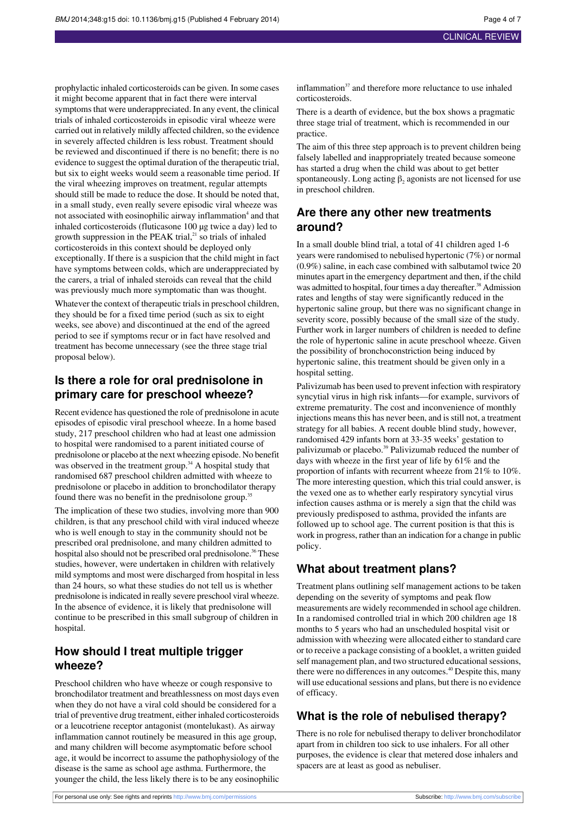prophylactic inhaled corticosteroids can be given. In some cases it might become apparent that in fact there were interval symptoms that were underappreciated. In any event, the clinical trials of inhaled corticosteroids in episodic viral wheeze were carried out in relatively mildly affected children, so the evidence in severely affected children is less robust. Treatment should be reviewed and discontinued if there is no benefit; there is no evidence to suggest the optimal duration of the therapeutic trial, but six to eight weeks would seem a reasonable time period. If the viral wheezing improves on treatment, regular attempts should still be made to reduce the dose. It should be noted that, in a small study, even really severe episodic viral wheeze was not associated with eosinophilic airway inflammation<sup>4</sup> and that inhaled corticosteroids (fluticasone 100 µg twice a day) led to growth suppression in the PEAK trial, $^{21}$  so trials of inhaled corticosteroids in this context should be deployed only exceptionally. If there is a suspicion that the child might in fact have symptoms between colds, which are underappreciated by the carers, a trial of inhaled steroids can reveal that the child was previously much more symptomatic than was thought.

Whatever the context of therapeutic trials in preschool children, they should be for a fixed time period (such as six to eight weeks, see above) and discontinued at the end of the agreed period to see if symptoms recur or in fact have resolved and treatment has become unnecessary (see the three stage trial proposal below).

### **Is there a role for oral prednisolone in primary care for preschool wheeze?**

Recent evidence has questioned the role of prednisolone in acute episodes of episodic viral preschool wheeze. In a home based study, 217 preschool children who had at least one admission to hospital were randomised to a parent initiated course of prednisolone or placebo at the next wheezing episode. No benefit was observed in the treatment group.<sup>34</sup> A hospital study that randomised 687 preschool children admitted with wheeze to prednisolone or placebo in addition to bronchodilator therapy found there was no benefit in the prednisolone group.<sup>35</sup>

The implication of these two studies, involving more than 900 children, is that any preschool child with viral induced wheeze who is well enough to stay in the community should not be prescribed oral prednisolone, and many children admitted to hospital also should not be prescribed oral prednisolone.<sup>36</sup> These studies, however, were undertaken in children with relatively mild symptoms and most were discharged from hospital in less than 24 hours, so what these studies do not tell us is whether prednisolone is indicated in really severe preschool viral wheeze. In the absence of evidence, it is likely that prednisolone will continue to be prescribed in this small subgroup of children in hospital.

### **How should I treat multiple trigger wheeze?**

Preschool children who have wheeze or cough responsive to bronchodilator treatment and breathlessness on most days even when they do not have a viral cold should be considered for a trial of preventive drug treatment, either inhaled corticosteroids or a leucotriene receptor antagonist (montelukast). As airway inflammation cannot routinely be measured in this age group, and many children will become asymptomatic before school age, it would be incorrect to assume the pathophysiology of the disease is the same as school age asthma. Furthermore, the younger the child, the less likely there is to be any eosinophilic

inflammation<sup>37</sup> and therefore more reluctance to use inhaled corticosteroids.

There is a dearth of evidence, but the box shows a pragmatic three stage trial of treatment, which is recommended in our practice.

The aim of this three step approach is to prevent children being falsely labelled and inappropriately treated because someone has started a drug when the child was about to get better spontaneously. Long acting  $\beta_2$  agonists are not licensed for use in preschool children.

### **Are there any other new treatments around?**

In a small double blind trial, a total of 41 children aged 1-6 years were randomised to nebulised hypertonic (7%) or normal (0.9%) saline, in each case combined with salbutamol twice 20 minutes apart in the emergency department and then, if the child was admitted to hospital, four times a day thereafter.<sup>38</sup> Admission rates and lengths of stay were significantly reduced in the hypertonic saline group, but there was no significant change in severity score, possibly because of the small size of the study. Further work in larger numbers of children is needed to define the role of hypertonic saline in acute preschool wheeze. Given the possibility of bronchoconstriction being induced by hypertonic saline, this treatment should be given only in a hospital setting.

Palivizumab has been used to prevent infection with respiratory syncytial virus in high risk infants—for example, survivors of extreme prematurity. The cost and inconvenience of monthly injections means this has never been, and is still not, a treatment strategy for all babies. A recent double blind study, however, randomised 429 infants born at 33-35 weeks' gestation to palivizumab or placebo.<sup>39</sup> Palivizumab reduced the number of days with wheeze in the first year of life by 61% and the proportion of infants with recurrent wheeze from 21% to 10%. The more interesting question, which this trial could answer, is the vexed one as to whether early respiratory syncytial virus infection causes asthma or is merely a sign that the child was previously predisposed to asthma, provided the infants are followed up to school age. The current position is that this is work in progress, rather than an indication for a change in public policy.

#### **What about treatment plans?**

Treatment plans outlining self management actions to be taken depending on the severity of symptoms and peak flow measurements are widely recommended in school age children. In a randomised controlled trial in which 200 children age 18 months to 5 years who had an unscheduled hospital visit or admission with wheezing were allocated either to standard care or to receive a package consisting of a booklet, a written guided self management plan, and two structured educational sessions, there were no differences in any outcomes.<sup>40</sup> Despite this, many will use educational sessions and plans, but there is no evidence of efficacy.

### **What is the role of nebulised therapy?**

There is no role for nebulised therapy to deliver bronchodilator apart from in children too sick to use inhalers. For all other purposes, the evidence is clear that metered dose inhalers and spacers are at least as good as nebuliser.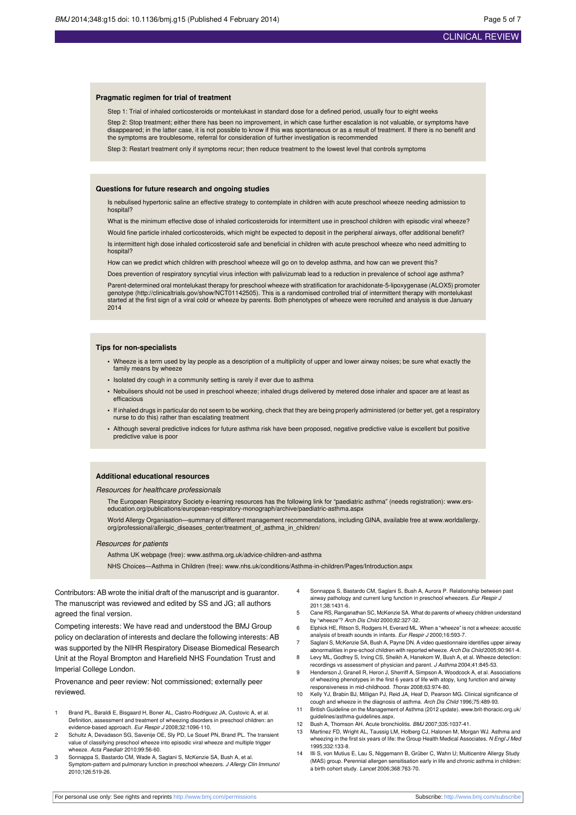### CLINICAL REVIEW

#### **Pragmatic regimen for trial of treatment**

Step 1: Trial of inhaled corticosteroids or montelukast in standard dose for a defined period, usually four to eight weeks

Step 2: Stop treatment; either there has been no improvement, in which case further escalation is not valuable, or symptoms have disappeared; in the latter case, it is not possible to know if this was spontaneous or as a result of treatment. If there is no benefit and the symptoms are troublesome, referral for consideration of further investigation is recommended

Step 3: Restart treatment only if symptoms recur; then reduce treatment to the lowest level that controls symptoms

#### **Questions for future research and ongoing studies**

Is nebulised hypertonic saline an effective strategy to contemplate in children with acute preschool wheeze needing admission to hospital?

What is the minimum effective dose of inhaled corticosteroids for intermittent use in preschool children with episodic viral wheeze?

Would fine particle inhaled corticosteroids, which might be expected to deposit in the peripheral airways, offer additional benefit? Is intermittent high dose inhaled corticosteroid safe and beneficial in children with acute preschool wheeze who need admitting to hospital?

How can we predict which children with preschool wheeze will go on to develop asthma, and how can we prevent this?

Does prevention of respiratory syncytial virus infection with palivizumab lead to a reduction in prevalence of school age asthma?

Parent-determined oral montelukast therapy for preschool wheeze with stratification for arachidonate-5-lipoxygenase (ALOX5) promoter genotype ([http://clinicaltrials.gov/show/NCT01142505\)](http://clinicaltrials.gov/show/NCT01142505). This is a randomised controlled trial of intermittent therapy with montelukast started at the first sign of a viral cold or wheeze by parents. Both phenotypes of wheeze were recruited and analysis is due January 2014

#### **Tips for non-specialists**

- **•** Wheeze is a term used by lay people as a description of a multiplicity of upper and lower airway noises; be sure what exactly the family means by wheeze
- **•** Isolated dry cough in a community setting is rarely if ever due to asthma
- **•** Nebulisers should not be used in preschool wheeze; inhaled drugs delivered by metered dose inhaler and spacer are at least as efficacious
- **•** If inhaled drugs in particular do not seem to be working, check that they are being properly administered (or better yet, get a respiratory nurse to do this) rather than escalating treatment
- **•** Although several predictive indices for future asthma risk have been proposed, negative predictive value is excellent but positive predictive value is poor

#### **Additional educational resources**

#### Resources for healthcare professionals

The European Respiratory Society e-learning resources has the following link for "paediatric asthma" (needs registration): [www.ers](http://www.ers-education.org/publications/european-respiratory-monograph/archive/paediatric-asthma.aspx)[education.org/publications/european-respiratory-monograph/archive/paediatric-asthma.aspx](http://www.ers-education.org/publications/european-respiratory-monograph/archive/paediatric-asthma.aspx)

World Allergy Organisation—summary of different management recommendations, including GINA, available free at [www.worldallergy.](http://www.worldallergy.org/professional/allergic_diseases_center/treatment_of_asthma_in_children/)<br>[org/professional/allergic\\_diseases\\_center/treatment\\_of\\_asthma\\_in\\_children/](http://www.worldallergy.org/professional/allergic_diseases_center/treatment_of_asthma_in_children/)

#### Resources for patients

Asthma UK webpage (free): [www.asthma.org.uk/advice-children-and-asthma](http://www.asthma.org.uk/advice-children-and-asthma)

NHS Choices—Asthma in Children (free): [www.nhs.uk/conditions/Asthma-in-children/Pages/Introduction.aspx](http://www.nhs.uk/conditions/Asthma-in-children/Pages/Introduction.aspx)

Contributors: AB wrote the initial draft of the manuscript and is guarantor. The manuscript was reviewed and edited by SS and JG; all authors agreed the final version.

Competing interests: We have read and understood the BMJ Group policy on declaration of interests and declare the following interests: AB was supported by the NIHR Respiratory Disease Biomedical Research Unit at the Royal Brompton and Harefield NHS Foundation Trust and Imperial College London.

Provenance and peer review: Not commissioned; externally peer reviewed.

- 1 Brand PL, Baraldi E, Bisgaard H, Boner AL, Castro-Rodriguez JA, Custovic A, et al. Definition, assessment and treatment of wheezing disorders in preschool children: an evidence-based approach. Eur Respir J 2008;32:1096-110.
- 2 Schultz A, Devadason SG, Savenije OE, Sly PD, Le Souef PN, Brand PL. The transient value of classifying preschool wheeze into episodic viral wheeze and multiple trigger wheeze. Acta Paediatr 2010;99:56-60.
- 3 Sonnappa S, Bastardo CM, Wade A, Saglani S, McKenzie SA, Bush A, et al. Symptom-pattern and pulmonary function in preschool wheezers. J Allergy Clin Immunol 2010;126:519-26.
- 4 Sonnappa S, Bastardo CM, Saglani S, Bush A, Aurora P. Relationship between past airway pathology and current lung function in preschool wheezers. Eur Respir J 2011;38:1431-6.
- 5 Cane RS, Ranganathan SC, McKenzie SA. What do parents of wheezy children understand by "wheeze"? Arch Dis Child 2000;82:327-32.
- 6 Elphick HE, Ritson S, Rodgers H, Everard ML. When a "wheeze" is not a wheeze: acoustic analysis of breath sounds in infants. Eur Respir J 2000;16:593-7.
- 7 Saglani S, McKenzie SA, Bush A, Payne DN. A video questionnaire identifies upper airway abnormalities in pre-school children with reported wheeze. Arch Dis Child 2005;90:961-4. 8 Levy ML, Godfrey S, Irving CS, Sheikh A, Hanekom W, Bush A, et al. Wheeze de
- recordings vs assessment of physician and parent. J Asthma 2004;41:845-53. 9 Henderson J, Granell R, Heron J, Sherriff A, Simpson A, Woodcock A, et al. Associations of wheezing phenotypes in the first 6 years of life with atopy, lung function and airway
- responsiveness in mid-childhood. Thorax 2008;63:974-80. 10 Kelly YJ, Brabin BJ, Milligan PJ, Reid JA, Heaf D, Pearson MG. Clinical significa
- cough and wheeze in the diagnosis of asthma. Arch Dis Child 1996;75:489-93. 11 British Guideline on the Management of Asthma (2012 update). [www.brit-thoracic.org.uk/](http://www.brit-thoracic.org.uk/guidelines/asthma-guidelines.aspx)
- [guidelines/asthma-guidelines.aspx.](http://www.brit-thoracic.org.uk/guidelines/asthma-guidelines.aspx) 12 Bush A, Thomson AH. Acute bronchiolitis. BMJ 2007;335:1037-41.
- 13 Martinez FD, Wright AL, Taussig LM, Holberg CJ, Halonen M, Morgan WJ. Asthma and wheezing in the first six years of life: the Group Health Medical Associates. N Engl J Med 1995;332:133-8.
- 14 Illi S, von Mutius E, Lau S, Niggemann B, Grüber C, Wahn U; Multicentre Allergy Study (MAS) group. Perennial allergen sensitisation early in life and chronic asthma in children: a birth cohort study. Lancet 2006;368:763-70.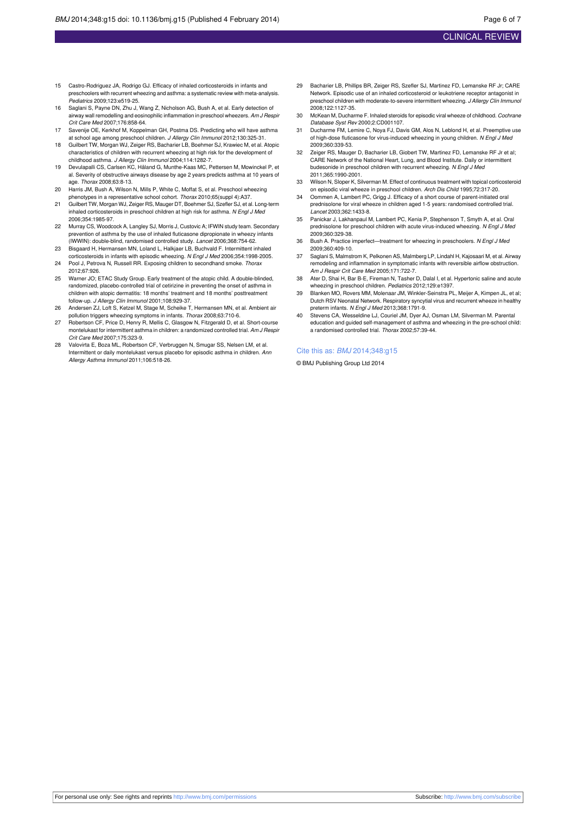- 15 Castro-Rodriguez JA, Rodrigo GJ. Efficacy of inhaled corticosteroids in infants and preschoolers with recurrent wheezing and asthma: a systematic review with meta-analysis. Pediatrics 2009;123:e519-25.
- 16 Saglani S, Payne DN, Zhu J, Wang Z, Nicholson AG, Bush A, et al. Early detection of airway wall remodelling and eosinophilic inflammation in preschool wheezers. Am J Respir Crit Care Med 2007;176:858-64.
- 17 Savenije OE, Kerkhof M, Koppelman GH, Postma DS. Predicting who will have asthma at school age among preschool children. J Allergy Clin Immunol 2012;130:325-31.
- 18 Guilbert TW, Morgan WJ, Zeiger RS, Bacharier LB, Boehmer SJ, Krawiec M, et al. Atopic characteristics of children with recurrent wheezing at high risk for the development of childhood asthma. J Allergy Clin Immunol 2004;114:1282-7.
- 19 Devulapalli CS, Carlsen KC, Håland G, Munthe-Kaas MC, Pettersen M, Mowinckel P, et al. Severity of obstructive airways disease by age 2 years predicts asthma at 10 years of age. Thorax 2008;63:8-13.
- 20 Harris JM, Bush A, Wilson N, Mills P, White C, Moffat S, et al. Preschool whee phenotypes in a representative school cohort. Thorax 2010;65(suppl 4):A37.
- 21 Guilbert TW, Morgan WJ, Zeiger RS, Mauger DT, Boehmer SJ, Szefler SJ, et al. Long-term inhaled corticosteroids in preschool children at high risk for asthma. N Engl J Med 2006;354:1985-97.
- 22 Murray CS, Woodcock A, Langley SJ, Morris J, Custovic A; IFWIN study team. Secondary prevention of asthma by the use of inhaled fluticasone dipropionate in wheezy infants (IWWIN): double-blind, randomised controlled study. Lancet 2006;368:754-62.
- 23 Bisgaard H, Hermansen MN, Loland L, Halkjaer LB, Buchvald F. Intermittent inhaled corticosteroids in infants with episodic wheezing. N Engl J Med 2006;354:1998-2005.
- 24 Pool J, Petrova N, Russell RR. Exposing children to secondhand smoke. Thorax 2012;67:926.
- 25 Warner JO; ETAC Study Group. Early treatment of the atopic child. A double-blinded, randomized, placebo-controlled trial of cetirizine in preventing the onset of asthma in children with atopic dermatitis: 18 months' treatment and 18 months' posttreatment follow-up. J Allergy Clin Immunol 2001;108:929-37.
- 26 Andersen ZJ, Loft S, Ketzel M, Stage M, Scheike T, Hermansen MN, et al. Ambient air pollution triggers wheezing symptoms in infants. Thorax 2008;63:710-6.
- 27 Robertson CF, Price D, Henry R, Mellis C, Glasgow N, Fitzgerald D, et al. Short-course montelukast for intermittent asthma in children: a randomized controlled trial. Am J Respir Crit Care Med 2007;175:323-9.
- 28 Valovirta E, Boza ML, Robertson CF, Verbruggen N, Smugar SS, Nelsen LM, et al. Intermittent or daily montelukast versus placebo for episodic asthma in children. Ann Allergy Asthma Immunol 2011;106:518-26.
- 29 Bacharier LB, Phillips BR, Zeiger RS, Szefler SJ, Martinez FD, Lemanske RF Jr; CARE Network. Episodic use of an inhaled corticosteroid or leukotriene receptor antagonist in preschool children with moderate-to-severe intermittent wheezing. J Allergy Clin Immunol 2008;122:1127-35.
- 30 McKean M, Ducharme F. Inhaled steroids for episodic viral wheeze of childhood. Cochrane Database Syst Rev 2000;2:CD001107.
- 31 Ducharme FM, Lemire C, Noya FJ, Davis GM, Alos N, Leblond H, et al. Preemptive use of high-dose fluticasone for virus-induced wheezing in young children. N Engl J Med 2009;360:339-53.
- 32 Zeiger RS, Mauger D, Bacharier LB, Giobert TW, Martinez FD, Lemanske RF Jr et al; CARE Network of the National Heart, Lung, and Blood Institute. Daily or intermittent budesonide in preschool children with recurrent wheezing. N Engl J Med 2011;365:1990-2001.
- 33 Wilson N, Sloper K, Silverman M. Effect of continuous treatment with topical corticosteroid on episodic viral wheeze in preschool children. Arch Dis Child 1995;72:317-20.
- 34 Oommen A, Lambert PC, Grigg J. Efficacy of a short course of parent-initiated oral prednisolone for viral wheeze in children aged 1-5 years: randomised controlled trial. Lancet 2003;362:1433-8.
- 35 Panickar J, Lakhanpaul M, Lambert PC, Kenia P, Stephenson T, Smyth A, et al. Oral prednisolone for preschool children with acute virus-induced wheezing. N Engl J Med .<br>2009:360:329-38.
- 36 Bush A. Practice imperfect—treatment for wheezing in preschoolers. N Engl J Med 2009;360:409-10.
- 37 Saglani S, Malmstrom K, Pelkonen AS, Malmberg LP, Lindahl H, Kajosaari M, et al. Airway remodeling and inflammation in symptomatic infants with reversible airflow obstruction. Am J Respir Crit Care Med 2005;171:722-7.
- 38 Ater D, Shai H, Bar B-E, Fireman N, Tasher D, Dalal I, et al. Hypertonic saline and acute wheezing in preschool children. Pediatrics 2012;129:e1397.
- 39 Blanken MO, Rovers MM, Molenaar JM, Winkler-Seinstra PL, Meijer A, Kimpen JL, et al; Dutch RSV Neonatal Network. Respiratory syncytial virus and recurrent wheeze in healthy<br>preterm infants. *N Engl J Med* 2013;368:1791-9.
- 40 Stevens CA, Wesseldine LJ, Couriel JM, Dyer AJ, Osman LM, Silverman M. Parental education and guided self-management of asthma and wheezing in the pre-school child: a randomised controlled trial. Thorax 2002;57:39-44.

#### Cite this as: BMJ 2014;348:g15

© BMJ Publishing Group Ltd 2014